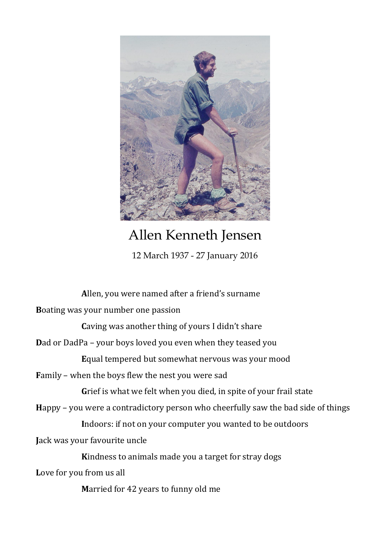

## Allen Kenneth Jensen

12 March 1937 - 27 January 2016

**A**llen, you were named after a friend's surname **B**oating was your number one passion **Caving was another thing of yours I didn't share Dad or DadPa – your boys loved you even when they teased you E**qual tempered but somewhat nervous was your mood **F**amily – when the boys flew the nest you were sad **G**rief is what we felt when you died, in spite of your frail state **H**appy – you were a contradictory person who cheerfully saw the bad side of things **I**ndoors: if not on your computer you wanted to be outdoors **J**ack was your favourite uncle **K**indness to animals made you a target for stray dogs **L**ove for you from us all **M**arried for 42 years to funny old me